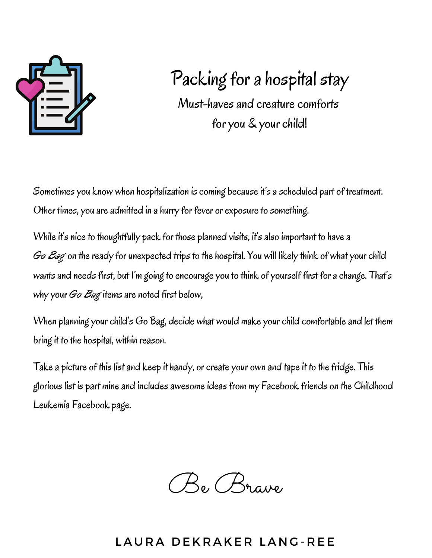

# Packing for a hospital stay

Must-haves and creature comforts for you & your child!

Sometimes you know when hospitalization is coming because it's a scheduled part of treatment. Other times, you are admitted in a hurry for fever or exposure to something.

While it's nice to thoughtfully pack for those planned visits, it's also important to have a *Go Bag* on the ready for unexpected trips to the hospital. You will likely think of what your child wants and needs first, but I'm going to encourage you to think of yourself first for a change. That's why your *Go Bag* items are noted first below,

When planning your child's Go Bag, decide what would make your child comfortable and let them bring it to the hospital, within reason.

Take a picture of this list and keep it handy, or create your own and tape it to the fridge. This glorious list is part mine and includes awesome ideas from my Facebook friends on the Childhood Leukemia Facebook page.

Be Brave

### LAURA DEKRAKER LANG-REE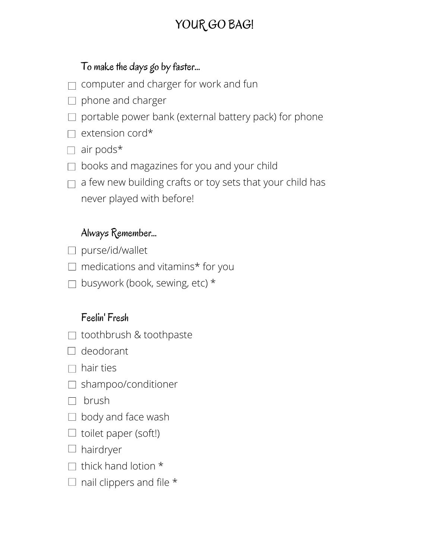# YOUR GO BAG!

### To make the days go by faster...

- computer and charger for work and fun
- $\Box$  phone and charger
- $\Box$  portable power bank (external battery pack) for phone
- $\Box$  extension cord\*
- $\Box$  air pods\*
- $\Box$  books and magazines for you and your child
- a few new building crafts or toy sets that your child has  $\Box$ never played with before!

#### Always Remember...

- $\Box$  purse/id/wallet
- $\Box$  medications and vitamins\* for you
- $\Box$  busywork (book, sewing, etc) \*

#### Feelin' Fresh

- $\Box$  toothbrush & toothpaste
- $\Box$  deodorant
- $\Box$  hair ties
- □ shampoo/conditioner
- $\Box$  brush
- $\Box$  body and face wash
- $\Box$  toilet paper (soft!)
- $\Box$  hairdryer
- $\Box$  thick hand lotion  $*$
- $\Box$  nail clippers and file  $*$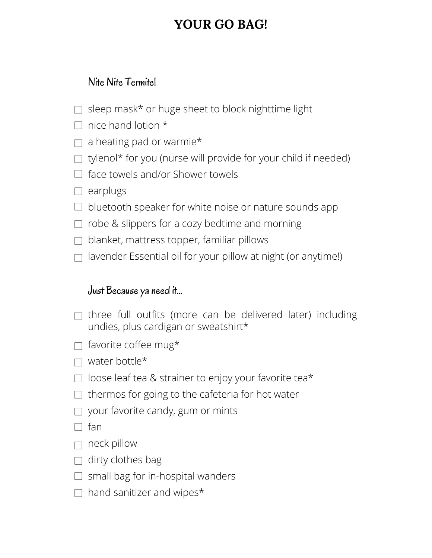## **YOUR GO BAG!**

### Nite Nite Termite!

- $\Box$  sleep mask\* or huge sheet to block nighttime light
- $\Box$  nice hand lotion  $*$
- $\Box$  a heating pad or warmie\*
- $\Box$  tylenol\* for you (nurse will provide for your child if needed)
- $\Box$  face towels and/or Shower towels
- $\Box$  earplugs
- $\Box$  bluetooth speaker for white noise or nature sounds app
- $\Box$  robe & slippers for a cozy bedtime and morning
- $\Box$  blanket, mattress topper, familiar pillows
- $\Box$  lavender Essential oil for your pillow at night (or anytime!)

#### Just Because ya need it...

- $\Box$  three full outfits (more can be delivered later) including undies, plus cardigan or sweatshirt\*
- $\Box$  favorite coffee mug\*
- $\Box$  water bottle\*
- $\Box$  loose leaf tea & strainer to enjoy your favorite tea\*
- $\Box$  thermos for going to the cafeteria for hot water
- $\Box$  your favorite candy, gum or mints
- $\Box$  fan
- $\Box$  neck pillow
- $\Box$  dirty clothes bag
- $\Box$  small bag for in-hospital wanders
- $\Box$  hand sanitizer and wipes\*